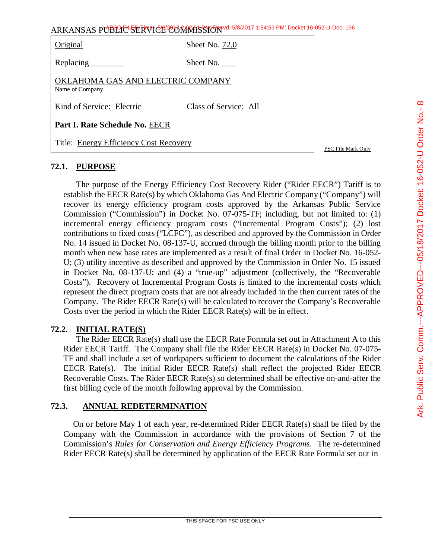| ARKANSAS PUBLIC SERVICE CORRATS TO 5/8/2017 1:54:53 PM: Docket 16-052-U-Doc. 196 |                       |  |
|----------------------------------------------------------------------------------|-----------------------|--|
| Original                                                                         | Sheet No. 72.0        |  |
| Replacing $\_\_\_\_\_\_\_\_\_\_\_\$                                              | Sheet No. $\_\_$      |  |
| OKLAHOMA GAS AND ELECTRIC COMPANY<br>Name of Company                             |                       |  |
| Kind of Service: Electric                                                        | Class of Service: All |  |
| Part I. Rate Schedule No. EECR                                                   |                       |  |
| Title: Energy Efficiency Cost Recovery<br>PSC File Mark Only                     |                       |  |

# **72.1. PURPOSE**

The purpose of the Energy Efficiency Cost Recovery Rider ("Rider EECR") Tariff is to establish the EECR Rate(s) by which Oklahoma Gas And Electric Company ("Company") will recover its energy efficiency program costs approved by the Arkansas Public Service Commission ("Commission") in Docket No. 07-075-TF; including, but not limited to: (1) incremental energy efficiency program costs ("Incremental Program Costs"); (2) lost contributions to fixed costs ("LCFC"), as described and approved by the Commission in Order No. 14 issued in Docket No. 08-137-U, accrued through the billing month prior to the billing month when new base rates are implemented as a result of final Order in Docket No. 16-052- U; (3) utility incentive as described and approved by the Commission in Order No. 15 issued in Docket No. 08-137-U; and (4) a "true-up" adjustment (collectively, the "Recoverable Costs"). Recovery of Incremental Program Costs is limited to the incremental costs which represent the direct program costs that are not already included in the then current rates of the Company. The Rider EECR Rate(s) will be calculated to recover the Company's Recoverable Costs over the period in which the Rider EECR Rate(s) will be in effect.

# **72.2. INITIAL RATE(S)**

The Rider EECR Rate(s) shall use the EECR Rate Formula set out in Attachment A to this Rider EECR Tariff. The Company shall file the Rider EECR Rate(s) in Docket No. 07-075- TF and shall include a set of workpapers sufficient to document the calculations of the Rider EECR Rate(s). The initial Rider EECR Rate(s) shall reflect the projected Rider EECR Recoverable Costs. The Rider EECR Rate(s) so determined shall be effective on-and-after the first billing cycle of the month following approval by the Commission.

# **72.3. ANNUAL REDETERMINATION**

On or before May 1 of each year, re-determined Rider EECR Rate(s) shall be filed by the Company with the Commission in accordance with the provisions of Section 7 of the Commission's *Rules for Conservation and Energy Efficiency Programs*. The re-determined Rider EECR Rate(s) shall be determined by application of the EECR Rate Formula set out in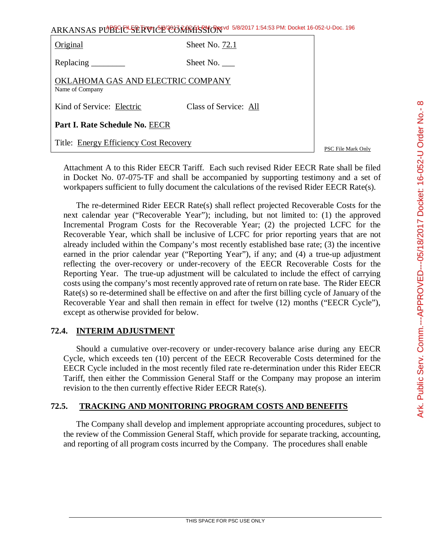| ARKANSAS PUBLICE SERVICE CONTRASSION 5/8/2017 1:54:53 PM: Docket 16-052-U-Doc. 196 |
|------------------------------------------------------------------------------------|
|------------------------------------------------------------------------------------|

| Original                                             | Sheet No. 72.1        |  |
|------------------------------------------------------|-----------------------|--|
|                                                      | Sheet No. $\_\_$      |  |
| OKLAHOMA GAS AND ELECTRIC COMPANY<br>Name of Company |                       |  |
| Kind of Service: Electric                            | Class of Service: All |  |
| Part I. Rate Schedule No. EECR                       |                       |  |
| Title: Energy Efficiency Cost Recovery               |                       |  |

PSC File Mark Only

Attachment A to this Rider EECR Tariff. Each such revised Rider EECR Rate shall be filed in Docket No. 07-075-TF and shall be accompanied by supporting testimony and a set of workpapers sufficient to fully document the calculations of the revised Rider EECR Rate(s).

The re-determined Rider EECR Rate(s) shall reflect projected Recoverable Costs for the next calendar year ("Recoverable Year"); including, but not limited to: (1) the approved Incremental Program Costs for the Recoverable Year; (2) the projected LCFC for the Recoverable Year, which shall be inclusive of LCFC for prior reporting years that are not already included within the Company's most recently established base rate; (3) the incentive earned in the prior calendar year ("Reporting Year"), if any; and (4) a true-up adjustment reflecting the over-recovery or under-recovery of the EECR Recoverable Costs for the Reporting Year. The true-up adjustment will be calculated to include the effect of carrying costs using the company's most recently approved rate of return on rate base. The Rider EECR Rate(s) so re-determined shall be effective on and after the first billing cycle of January of the Recoverable Year and shall then remain in effect for twelve (12) months ("EECR Cycle"), except as otherwise provided for below.

# **72.4. INTERIM ADJUSTMENT**

Should a cumulative over-recovery or under-recovery balance arise during any EECR Cycle, which exceeds ten (10) percent of the EECR Recoverable Costs determined for the EECR Cycle included in the most recently filed rate re-determination under this Rider EECR Tariff, then either the Commission General Staff or the Company may propose an interim revision to the then currently effective Rider EECR Rate(s).

# **72.5. TRACKING AND MONITORING PROGRAM COSTS AND BENEFITS**

The Company shall develop and implement appropriate accounting procedures, subject to the review of the Commission General Staff, which provide for separate tracking, accounting, and reporting of all program costs incurred by the Company. The procedures shall enable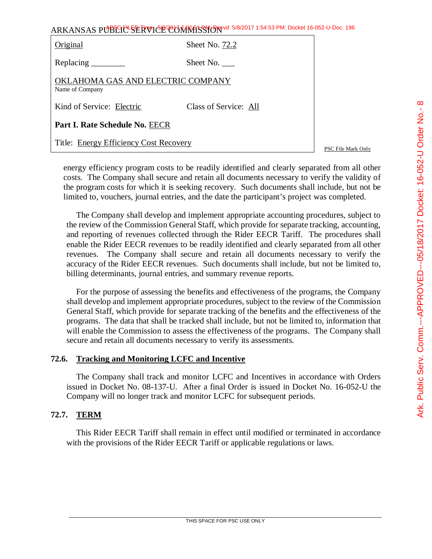|                                                      | ARKANSAS PUBLIC SERVICE CORRETS TO 5/8/2017 1:54:53 PM: Docket 16-052-U-Doc. 196 |                    |
|------------------------------------------------------|----------------------------------------------------------------------------------|--------------------|
| Original                                             | Sheet No. 72.2                                                                   |                    |
| Replacing ________                                   | Sheet No.                                                                        |                    |
| OKLAHOMA GAS AND ELECTRIC COMPANY<br>Name of Company |                                                                                  |                    |
| Kind of Service: Electric                            | Class of Service: All                                                            |                    |
| Part I. Rate Schedule No. EECR                       |                                                                                  |                    |
| Title: Energy Efficiency Cost Recovery               |                                                                                  | PSC File Mark Only |

energy efficiency program costs to be readily identified and clearly separated from all other costs. The Company shall secure and retain all documents necessary to verify the validity of the program costs for which it is seeking recovery. Such documents shall include, but not be limited to, vouchers, journal entries, and the date the participant's project was completed.

The Company shall develop and implement appropriate accounting procedures, subject to the review of the Commission General Staff, which provide for separate tracking, accounting, and reporting of revenues collected through the Rider EECR Tariff. The procedures shall enable the Rider EECR revenues to be readily identified and clearly separated from all other revenues. The Company shall secure and retain all documents necessary to verify the accuracy of the Rider EECR revenues. Such documents shall include, but not be limited to, billing determinants, journal entries, and summary revenue reports.

For the purpose of assessing the benefits and effectiveness of the programs, the Company shall develop and implement appropriate procedures, subject to the review of the Commission General Staff, which provide for separate tracking of the benefits and the effectiveness of the programs. The data that shall be tracked shall include, but not be limited to, information that will enable the Commission to assess the effectiveness of the programs. The Company shall secure and retain all documents necessary to verify its assessments.

# **72.6. Tracking and Monitoring LCFC and Incentive**

The Company shall track and monitor LCFC and Incentives in accordance with Orders issued in Docket No. 08-137-U. After a final Order is issued in Docket No. 16-052-U the Company will no longer track and monitor LCFC for subsequent periods.

# **72.7. TERM**

This Rider EECR Tariff shall remain in effect until modified or terminated in accordance with the provisions of the Rider EECR Tariff or applicable regulations or laws.